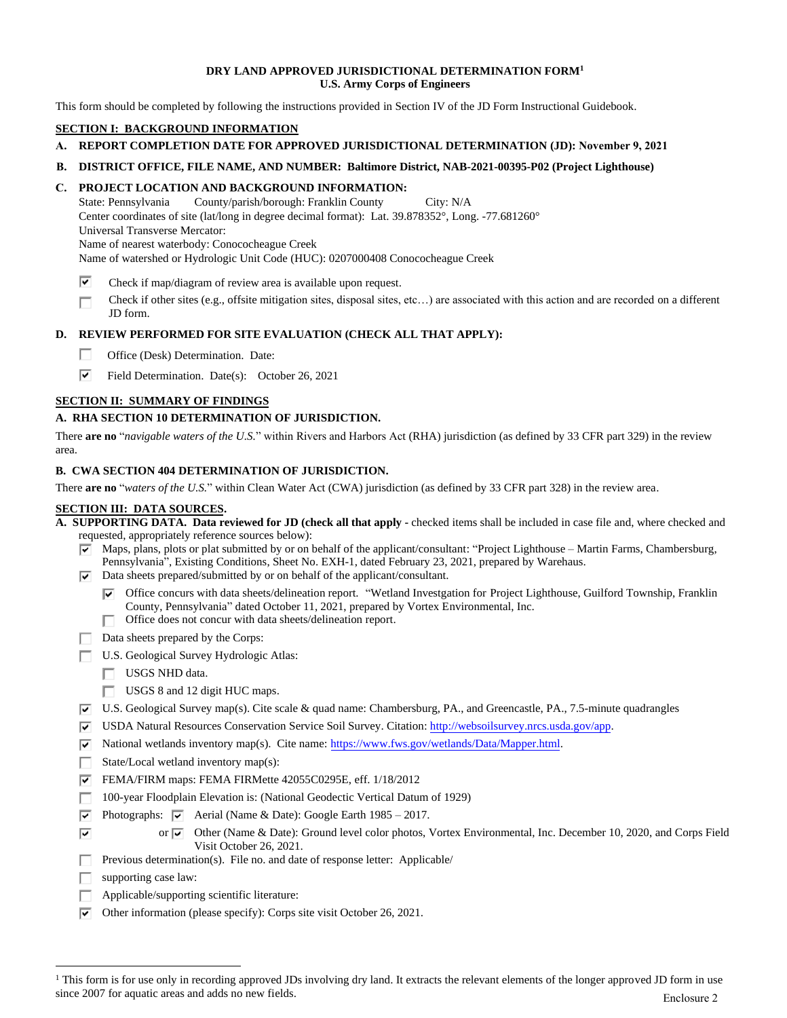#### **DRY LAND APPROVED JURISDICTIONAL DETERMINATION FORM<sup>1</sup> U.S. Army Corps of Engineers**

This form should be completed by following the instructions provided in Section IV of the JD Form Instructional Guidebook.

# **SECTION I: BACKGROUND INFORMATION**

- **A. REPORT COMPLETION DATE FOR APPROVED JURISDICTIONAL DETERMINATION (JD): November 9, 2021**
- **B. DISTRICT OFFICE, FILE NAME, AND NUMBER: Baltimore District, NAB-2021-00395-P02 (Project Lighthouse)**

### **C. PROJECT LOCATION AND BACKGROUND INFORMATION:**

State: Pennsylvania County/parish/borough: Franklin County City: N/A Center coordinates of site (lat/long in degree decimal format): Lat. 39.878352°, Long. -77.681260° Universal Transverse Mercator: Name of nearest waterbody: Conococheague Creek Name of watershed or Hydrologic Unit Code (HUC): 0207000408 Conococheague Creek

- ⊽ Check if map/diagram of review area is available upon request.
- Check if other sites (e.g., offsite mitigation sites, disposal sites, etc…) are associated with this action and are recorded on a different П JD form.

### **D. REVIEW PERFORMED FOR SITE EVALUATION (CHECK ALL THAT APPLY):**

- П. Office (Desk) Determination. Date:
- ⊽ Field Determination. Date(s): October 26, 2021

### **SECTION II: SUMMARY OF FINDINGS**

#### **A. RHA SECTION 10 DETERMINATION OF JURISDICTION.**

There **are no** "*navigable waters of the U.S.*" within Rivers and Harbors Act (RHA) jurisdiction (as defined by 33 CFR part 329) in the review area.

#### **B. CWA SECTION 404 DETERMINATION OF JURISDICTION.**

There **are no** "*waters of the U.S.*" within Clean Water Act (CWA) jurisdiction (as defined by 33 CFR part 328) in the review area.

## **SECTION III: DATA SOURCES.**

- **A. SUPPORTING DATA. Data reviewed for JD (check all that apply -** checked items shall be included in case file and, where checked and requested, appropriately reference sources below):
	- $\overline{\triangledown}$  Maps, plans, plots or plat submitted by or on behalf of the applicant/consultant: "Project Lighthouse Martin Farms, Chambersburg, Pennsylvania", Existing Conditions, Sheet No. EXH-1, dated February 23, 2021, prepared by Warehaus.
	- $\boxed{\mathbf{v}}$  Data sheets prepared/submitted by or on behalf of the applicant/consultant.
		- Office concurs with data sheets/delineation report. "Wetland Investgation for Project Lighthouse, Guilford Township, Franklin County, Pennsylvania" dated October 11, 2021, prepared by Vortex Environmental, Inc.
		- Office does not concur with data sheets/delineation report.
	- Data sheets prepared by the Corps:
	- U.S. Geological Survey Hydrologic Atlas:
		- USGS NHD data.
		- USGS 8 and 12 digit HUC maps.
	- $\overline{V}$  U.S. Geological Survey map(s). Cite scale & quad name: Chambersburg, PA., and Greencastle, PA., 7.5-minute quadrangles
	- USDA Natural Resources Conservation Service Soil Survey. Citation: [http://websoilsurvey.nrcs.usda.gov/app.](http://websoilsurvey.nrcs.usda.gov/app)
	- $\overline{v}$  National wetlands inventory map(s). Cite name: [https://www.fws.gov/wetlands/Data/Mapper.html.](https://www.fws.gov/wetlands/Data/Mapper.html)
	- State/Local wetland inventory map(s): П.
	- FEMA/FIRM maps: FEMA FIRMette 42055C0295E, eff. 1/18/2012
	- 100-year Floodplain Elevation is: (National Geodectic Vertical Datum of 1929) П.
	- $\overline{\mathbf{v}}$ Photographs:  $\overline{\vee}$  Aerial (Name & Date): Google Earth 1985 – 2017.
		- or  $\overline{\blacktriangledown}$  Other (Name & Date): Ground level color photos, Vortex Environmental, Inc. December 10, 2020, and Corps Field Visit October 26, 2021.
	- Previous determination(s). File no. and date of response letter: Applicable/ П.
	- supporting case law: П.

 $\overline{\mathbf{v}}$ 

- Applicable/supporting scientific literature:
- $\nabla$  Other information (please specify): Corps site visit October 26, 2021.

<sup>&</sup>lt;sup>1</sup> This form is for use only in recording approved JDs involving dry land. It extracts the relevant elements of the longer approved JD form in use since 2007 for aquatic areas and adds no new fields. Enclosure 2